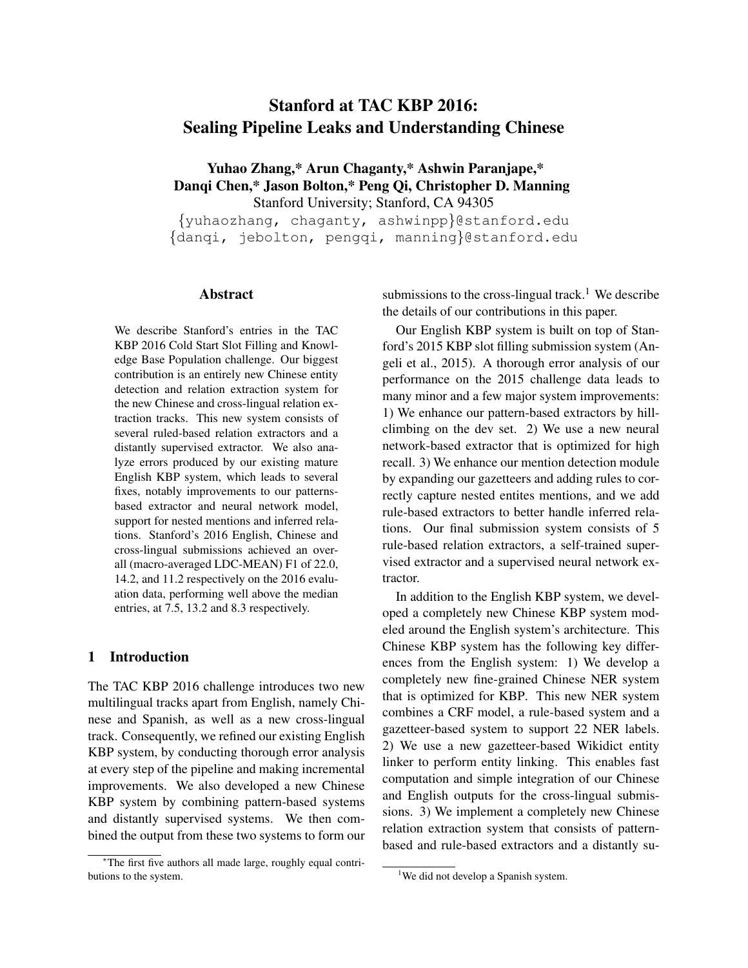# Stanford at TAC KBP 2016: Sealing Pipeline Leaks and Understanding Chinese

Yuhao Zhang,\* Arun Chaganty,\* Ashwin Paranjape,\* Danqi Chen,\* Jason Bolton,\* Peng Qi, Christopher D. Manning Stanford University; Stanford, CA 94305

{yuhaozhang, chaganty, ashwinpp}@stanford.edu {danqi, jebolton, pengqi, manning}@stanford.edu

## Abstract

We describe Stanford's entries in the TAC KBP 2016 Cold Start Slot Filling and Knowledge Base Population challenge. Our biggest contribution is an entirely new Chinese entity detection and relation extraction system for the new Chinese and cross-lingual relation extraction tracks. This new system consists of several ruled-based relation extractors and a distantly supervised extractor. We also analyze errors produced by our existing mature English KBP system, which leads to several fixes, notably improvements to our patternsbased extractor and neural network model, support for nested mentions and inferred relations. Stanford's 2016 English, Chinese and cross-lingual submissions achieved an overall (macro-averaged LDC-MEAN) F1 of 22.0, 14.2, and 11.2 respectively on the 2016 evaluation data, performing well above the median entries, at 7.5, 13.2 and 8.3 respectively.

## 1 Introduction

The TAC KBP 2016 challenge introduces two new multilingual tracks apart from English, namely Chinese and Spanish, as well as a new cross-lingual track. Consequently, we refined our existing English KBP system, by conducting thorough error analysis at every step of the pipeline and making incremental improvements. We also developed a new Chinese KBP system by combining pattern-based systems and distantly supervised systems. We then combined the output from these two systems to form our

submissions to the cross-lingual track.<sup>1</sup> We describe the details of our contributions in this paper.

Our English KBP system is built on top of Stanford's 2015 KBP slot filling submission system (Angeli et al., 2015). A thorough error analysis of our performance on the 2015 challenge data leads to many minor and a few major system improvements: 1) We enhance our pattern-based extractors by hillclimbing on the dev set. 2) We use a new neural network-based extractor that is optimized for high recall. 3) We enhance our mention detection module by expanding our gazetteers and adding rules to correctly capture nested entites mentions, and we add rule-based extractors to better handle inferred relations. Our final submission system consists of 5 rule-based relation extractors, a self-trained supervised extractor and a supervised neural network extractor.

In addition to the English KBP system, we developed a completely new Chinese KBP system modeled around the English system's architecture. This Chinese KBP system has the following key differences from the English system: 1) We develop a completely new fine-grained Chinese NER system that is optimized for KBP. This new NER system combines a CRF model, a rule-based system and a gazetteer-based system to support 22 NER labels. 2) We use a new gazetteer-based Wikidict entity linker to perform entity linking. This enables fast computation and simple integration of our Chinese and English outputs for the cross-lingual submissions. 3) We implement a completely new Chinese relation extraction system that consists of patternbased and rule-based extractors and a distantly su-

<sup>∗</sup>The first five authors all made large, roughly equal contributions to the system.

<sup>&</sup>lt;sup>1</sup>We did not develop a Spanish system.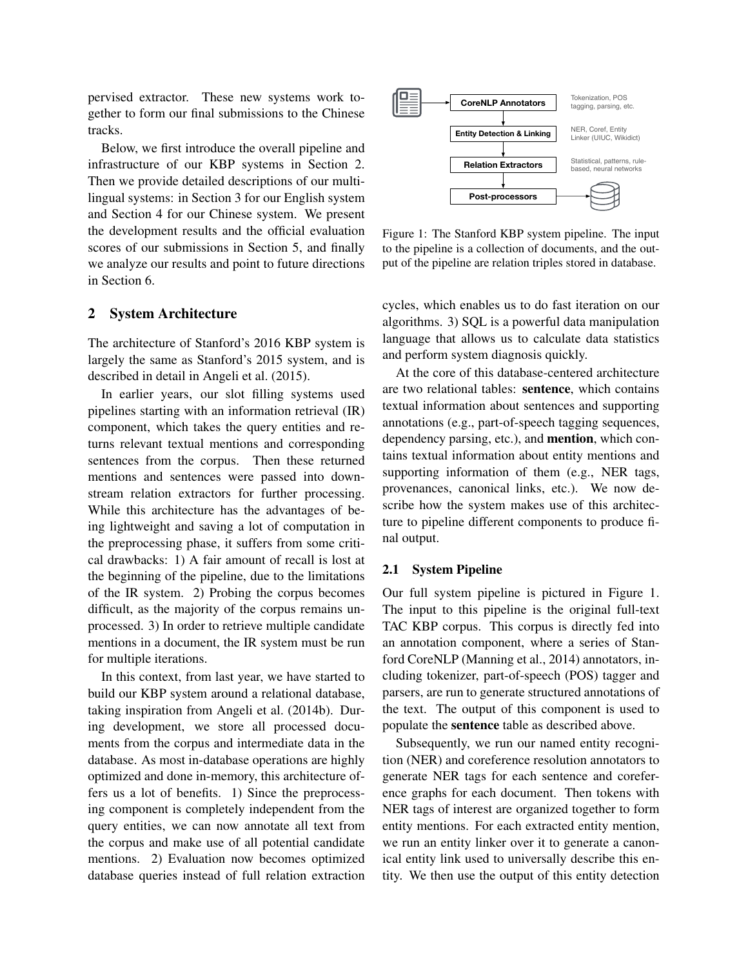pervised extractor. These new systems work together to form our final submissions to the Chinese tracks.

Below, we first introduce the overall pipeline and infrastructure of our KBP systems in Section 2. Then we provide detailed descriptions of our multilingual systems: in Section 3 for our English system and Section 4 for our Chinese system. We present the development results and the official evaluation scores of our submissions in Section 5, and finally we analyze our results and point to future directions in Section 6.

### 2 System Architecture

The architecture of Stanford's 2016 KBP system is largely the same as Stanford's 2015 system, and is described in detail in Angeli et al. (2015).

In earlier years, our slot filling systems used pipelines starting with an information retrieval (IR) component, which takes the query entities and returns relevant textual mentions and corresponding sentences from the corpus. Then these returned mentions and sentences were passed into downstream relation extractors for further processing. While this architecture has the advantages of being lightweight and saving a lot of computation in the preprocessing phase, it suffers from some critical drawbacks: 1) A fair amount of recall is lost at the beginning of the pipeline, due to the limitations of the IR system. 2) Probing the corpus becomes difficult, as the majority of the corpus remains unprocessed. 3) In order to retrieve multiple candidate mentions in a document, the IR system must be run for multiple iterations.

In this context, from last year, we have started to build our KBP system around a relational database, taking inspiration from Angeli et al. (2014b). During development, we store all processed documents from the corpus and intermediate data in the database. As most in-database operations are highly optimized and done in-memory, this architecture offers us a lot of benefits. 1) Since the preprocessing component is completely independent from the query entities, we can now annotate all text from the corpus and make use of all potential candidate mentions. 2) Evaluation now becomes optimized database queries instead of full relation extraction



Figure 1: The Stanford KBP system pipeline. The input to the pipeline is a collection of documents, and the output of the pipeline are relation triples stored in database.

cycles, which enables us to do fast iteration on our algorithms. 3) SQL is a powerful data manipulation language that allows us to calculate data statistics and perform system diagnosis quickly.

At the core of this database-centered architecture are two relational tables: sentence, which contains textual information about sentences and supporting annotations (e.g., part-of-speech tagging sequences, dependency parsing, etc.), and mention, which contains textual information about entity mentions and supporting information of them (e.g., NER tags, provenances, canonical links, etc.). We now describe how the system makes use of this architecture to pipeline different components to produce final output.

## 2.1 System Pipeline

Our full system pipeline is pictured in Figure 1. The input to this pipeline is the original full-text TAC KBP corpus. This corpus is directly fed into an annotation component, where a series of Stanford CoreNLP (Manning et al., 2014) annotators, including tokenizer, part-of-speech (POS) tagger and parsers, are run to generate structured annotations of the text. The output of this component is used to populate the sentence table as described above.

Subsequently, we run our named entity recognition (NER) and coreference resolution annotators to generate NER tags for each sentence and coreference graphs for each document. Then tokens with NER tags of interest are organized together to form entity mentions. For each extracted entity mention, we run an entity linker over it to generate a canonical entity link used to universally describe this entity. We then use the output of this entity detection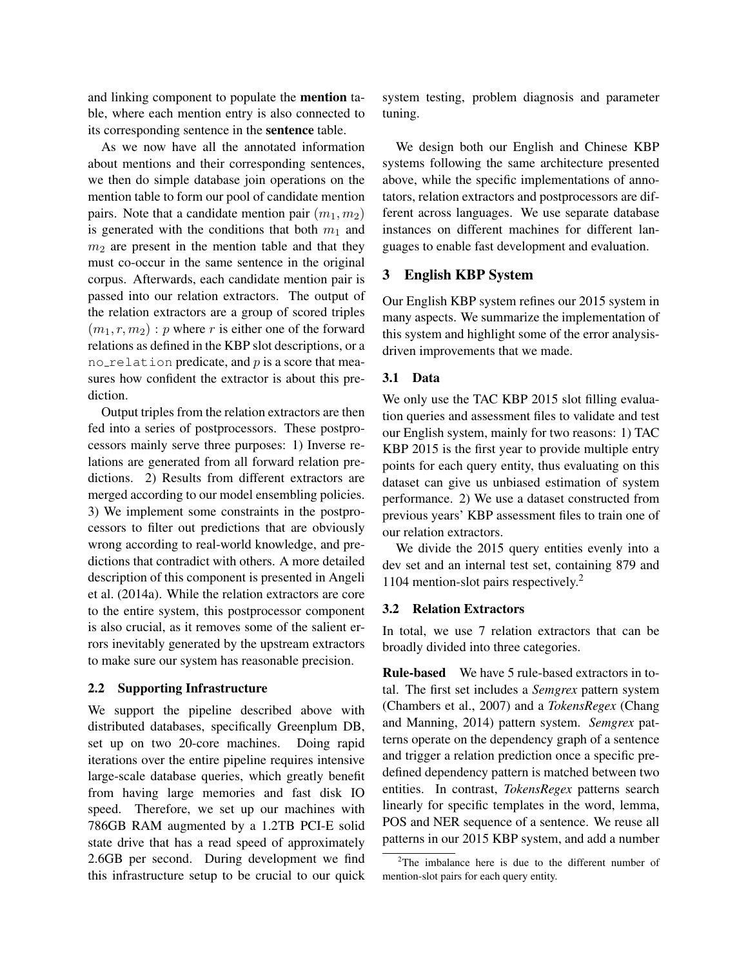and linking component to populate the mention table, where each mention entry is also connected to its corresponding sentence in the sentence table.

As we now have all the annotated information about mentions and their corresponding sentences, we then do simple database join operations on the mention table to form our pool of candidate mention pairs. Note that a candidate mention pair  $(m_1, m_2)$ is generated with the conditions that both  $m_1$  and  $m<sub>2</sub>$  are present in the mention table and that they must co-occur in the same sentence in the original corpus. Afterwards, each candidate mention pair is passed into our relation extractors. The output of the relation extractors are a group of scored triples  $(m_1, r, m_2)$ : p where r is either one of the forward relations as defined in the KBP slot descriptions, or a no relation predicate, and  $p$  is a score that measures how confident the extractor is about this prediction.

Output triples from the relation extractors are then fed into a series of postprocessors. These postprocessors mainly serve three purposes: 1) Inverse relations are generated from all forward relation predictions. 2) Results from different extractors are merged according to our model ensembling policies. 3) We implement some constraints in the postprocessors to filter out predictions that are obviously wrong according to real-world knowledge, and predictions that contradict with others. A more detailed description of this component is presented in Angeli et al. (2014a). While the relation extractors are core to the entire system, this postprocessor component is also crucial, as it removes some of the salient errors inevitably generated by the upstream extractors to make sure our system has reasonable precision.

#### 2.2 Supporting Infrastructure

We support the pipeline described above with distributed databases, specifically Greenplum DB, set up on two 20-core machines. Doing rapid iterations over the entire pipeline requires intensive large-scale database queries, which greatly benefit from having large memories and fast disk IO speed. Therefore, we set up our machines with 786GB RAM augmented by a 1.2TB PCI-E solid state drive that has a read speed of approximately 2.6GB per second. During development we find this infrastructure setup to be crucial to our quick

system testing, problem diagnosis and parameter tuning.

We design both our English and Chinese KBP systems following the same architecture presented above, while the specific implementations of annotators, relation extractors and postprocessors are different across languages. We use separate database instances on different machines for different languages to enable fast development and evaluation.

# 3 English KBP System

Our English KBP system refines our 2015 system in many aspects. We summarize the implementation of this system and highlight some of the error analysisdriven improvements that we made.

#### 3.1 Data

We only use the TAC KBP 2015 slot filling evaluation queries and assessment files to validate and test our English system, mainly for two reasons: 1) TAC KBP 2015 is the first year to provide multiple entry points for each query entity, thus evaluating on this dataset can give us unbiased estimation of system performance. 2) We use a dataset constructed from previous years' KBP assessment files to train one of our relation extractors.

We divide the 2015 query entities evenly into a dev set and an internal test set, containing 879 and 1104 mention-slot pairs respectively.<sup>2</sup>

#### 3.2 Relation Extractors

In total, we use 7 relation extractors that can be broadly divided into three categories.

Rule-based We have 5 rule-based extractors in total. The first set includes a *Semgrex* pattern system (Chambers et al., 2007) and a *TokensRegex* (Chang and Manning, 2014) pattern system. *Semgrex* patterns operate on the dependency graph of a sentence and trigger a relation prediction once a specific predefined dependency pattern is matched between two entities. In contrast, *TokensRegex* patterns search linearly for specific templates in the word, lemma, POS and NER sequence of a sentence. We reuse all patterns in our 2015 KBP system, and add a number

 $2$ The imbalance here is due to the different number of mention-slot pairs for each query entity.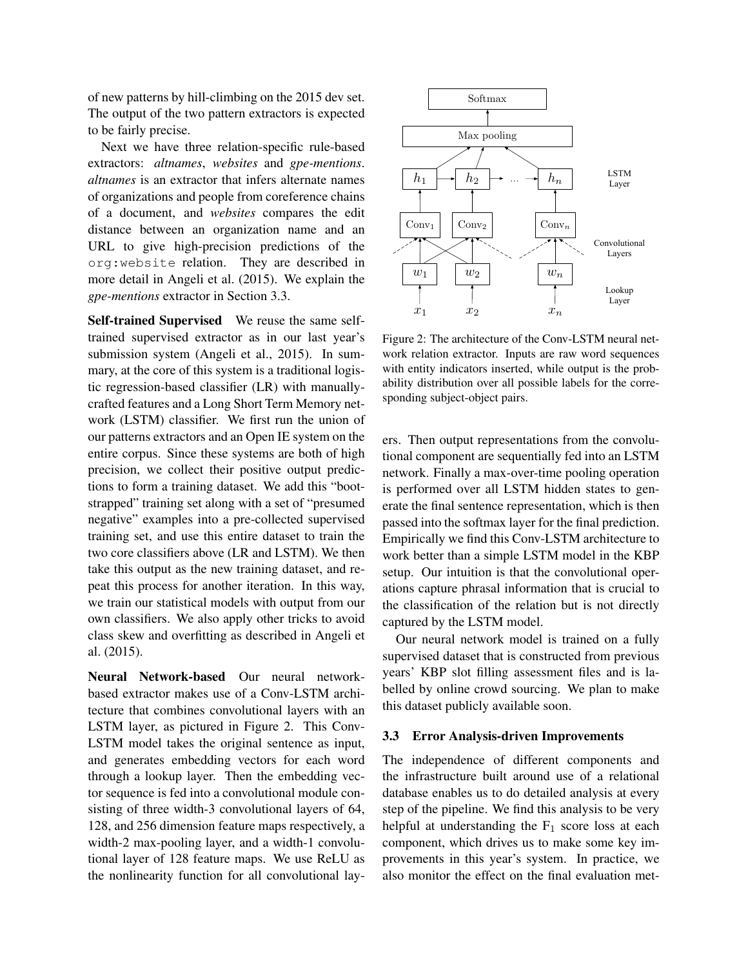of new patterns by hill-climbing on the 2015 dev set. The output of the two pattern extractors is expected to be fairly precise.

Next we have three relation-specific rule-based extractors: *altnames*, *websites* and *gpe-mentions*. *altnames* is an extractor that infers alternate names of organizations and people from coreference chains of a document, and *websites* compares the edit distance between an organization name and an URL to give high-precision predictions of the org:website relation. They are described in more detail in Angeli et al. (2015). We explain the *gpe-mentions* extractor in Section 3.3.

Self-trained Supervised We reuse the same selftrained supervised extractor as in our last year's submission system (Angeli et al., 2015). In summary, at the core of this system is a traditional logistic regression-based classifier (LR) with manuallycrafted features and a Long Short Term Memory network (LSTM) classifier. We first run the union of our patterns extractors and an Open IE system on the entire corpus. Since these systems are both of high precision, we collect their positive output predictions to form a training dataset. We add this "bootstrapped" training set along with a set of "presumed negative" examples into a pre-collected supervised training set, and use this entire dataset to train the two core classifiers above (LR and LSTM). We then take this output as the new training dataset, and repeat this process for another iteration. In this way, we train our statistical models with output from our own classifiers. We also apply other tricks to avoid class skew and overfitting as described in Angeli et al. (2015).

Neural Network-based Our neural networkbased extractor makes use of a Conv-LSTM architecture that combines convolutional layers with an LSTM layer, as pictured in Figure 2. This Conv-LSTM model takes the original sentence as input, and generates embedding vectors for each word through a lookup layer. Then the embedding vector sequence is fed into a convolutional module consisting of three width-3 convolutional layers of 64, 128, and 256 dimension feature maps respectively, a width-2 max-pooling layer, and a width-1 convolutional layer of 128 feature maps. We use ReLU as the nonlinearity function for all convolutional lay-



Figure 2: The architecture of the Conv-LSTM neural network relation extractor. Inputs are raw word sequences with entity indicators inserted, while output is the probability distribution over all possible labels for the corresponding subject-object pairs.

ers. Then output representations from the convolutional component are sequentially fed into an LSTM network. Finally a max-over-time pooling operation is performed over all LSTM hidden states to generate the final sentence representation, which is then passed into the softmax layer for the final prediction. Empirically we find this Conv-LSTM architecture to work better than a simple LSTM model in the KBP setup. Our intuition is that the convolutional operations capture phrasal information that is crucial to the classification of the relation but is not directly captured by the LSTM model.

Our neural network model is trained on a fully supervised dataset that is constructed from previous years' KBP slot filling assessment files and is labelled by online crowd sourcing. We plan to make this dataset publicly available soon.

## 3.3 Error Analysis-driven Improvements

The independence of different components and the infrastructure built around use of a relational database enables us to do detailed analysis at every step of the pipeline. We find this analysis to be very helpful at understanding the  $F_1$  score loss at each component, which drives us to make some key improvements in this year's system. In practice, we also monitor the effect on the final evaluation met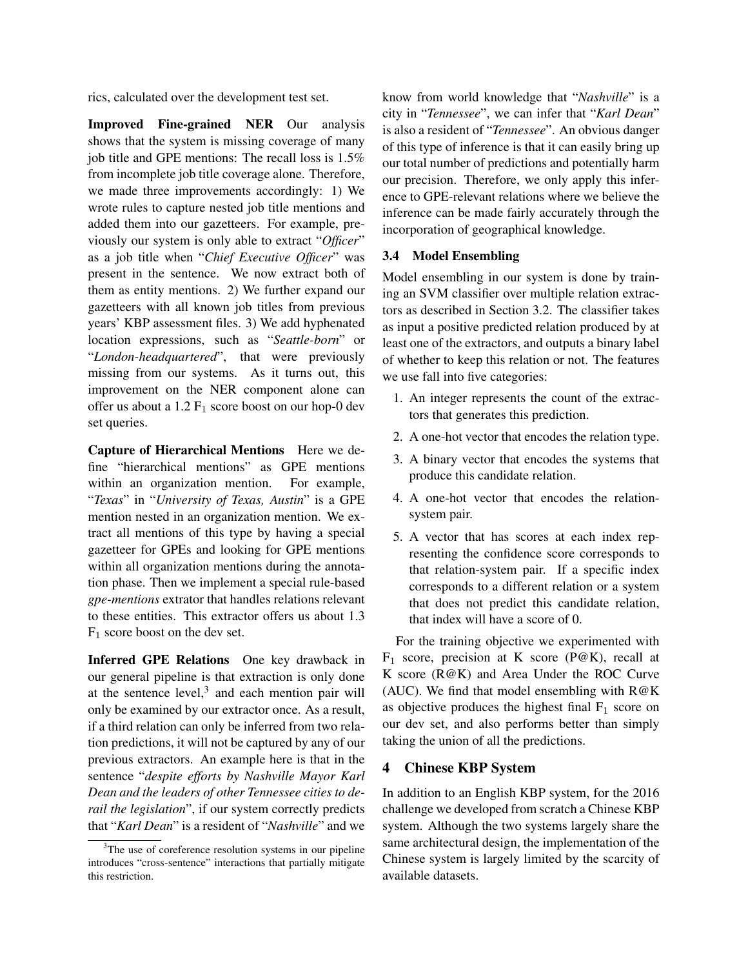rics, calculated over the development test set.

Improved Fine-grained NER Our analysis shows that the system is missing coverage of many job title and GPE mentions: The recall loss is 1.5% from incomplete job title coverage alone. Therefore, we made three improvements accordingly: 1) We wrote rules to capture nested job title mentions and added them into our gazetteers. For example, previously our system is only able to extract "*Officer*" as a job title when "*Chief Executive Officer*" was present in the sentence. We now extract both of them as entity mentions. 2) We further expand our gazetteers with all known job titles from previous years' KBP assessment files. 3) We add hyphenated location expressions, such as "*Seattle-born*" or "*London-headquartered*", that were previously missing from our systems. As it turns out, this improvement on the NER component alone can offer us about a  $1.2 \text{ F}_1$  score boost on our hop-0 dev set queries.

Capture of Hierarchical Mentions Here we define "hierarchical mentions" as GPE mentions within an organization mention. For example, "*Texas*" in "*University of Texas, Austin*" is a GPE mention nested in an organization mention. We extract all mentions of this type by having a special gazetteer for GPEs and looking for GPE mentions within all organization mentions during the annotation phase. Then we implement a special rule-based *gpe-mentions* extrator that handles relations relevant to these entities. This extractor offers us about 1.3  $F_1$  score boost on the dev set.

Inferred GPE Relations One key drawback in our general pipeline is that extraction is only done at the sentence level, $3$  and each mention pair will only be examined by our extractor once. As a result, if a third relation can only be inferred from two relation predictions, it will not be captured by any of our previous extractors. An example here is that in the sentence "*despite efforts by Nashville Mayor Karl Dean and the leaders of other Tennessee cities to derail the legislation*", if our system correctly predicts that "*Karl Dean*" is a resident of "*Nashville*" and we know from world knowledge that "*Nashville*" is a city in "*Tennessee*", we can infer that "*Karl Dean*" is also a resident of "*Tennessee*". An obvious danger of this type of inference is that it can easily bring up our total number of predictions and potentially harm our precision. Therefore, we only apply this inference to GPE-relevant relations where we believe the inference can be made fairly accurately through the incorporation of geographical knowledge.

## 3.4 Model Ensembling

Model ensembling in our system is done by training an SVM classifier over multiple relation extractors as described in Section 3.2. The classifier takes as input a positive predicted relation produced by at least one of the extractors, and outputs a binary label of whether to keep this relation or not. The features we use fall into five categories:

- 1. An integer represents the count of the extractors that generates this prediction.
- 2. A one-hot vector that encodes the relation type.
- 3. A binary vector that encodes the systems that produce this candidate relation.
- 4. A one-hot vector that encodes the relationsystem pair.
- 5. A vector that has scores at each index representing the confidence score corresponds to that relation-system pair. If a specific index corresponds to a different relation or a system that does not predict this candidate relation, that index will have a score of 0.

For the training objective we experimented with  $F_1$  score, precision at K score (P@K), recall at K score (R@K) and Area Under the ROC Curve (AUC). We find that model ensembling with  $R@K$ as objective produces the highest final  $F_1$  score on our dev set, and also performs better than simply taking the union of all the predictions.

# 4 Chinese KBP System

In addition to an English KBP system, for the 2016 challenge we developed from scratch a Chinese KBP system. Although the two systems largely share the same architectural design, the implementation of the Chinese system is largely limited by the scarcity of available datasets.

<sup>&</sup>lt;sup>3</sup>The use of coreference resolution systems in our pipeline introduces "cross-sentence" interactions that partially mitigate this restriction.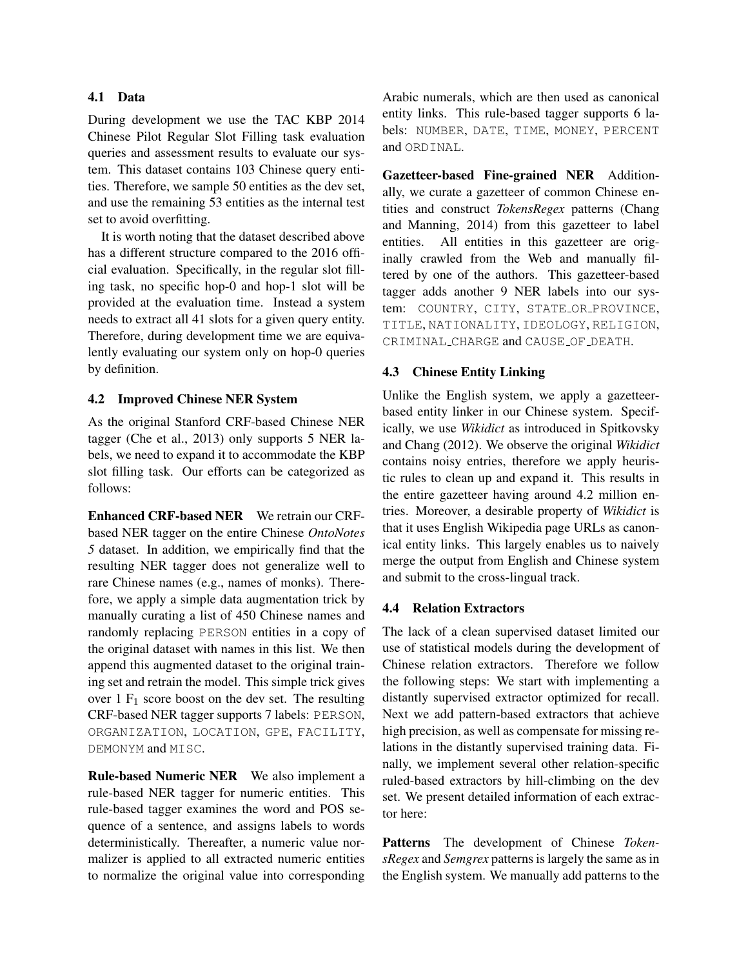## 4.1 Data

During development we use the TAC KBP 2014 Chinese Pilot Regular Slot Filling task evaluation queries and assessment results to evaluate our system. This dataset contains 103 Chinese query entities. Therefore, we sample 50 entities as the dev set, and use the remaining 53 entities as the internal test set to avoid overfitting.

It is worth noting that the dataset described above has a different structure compared to the 2016 official evaluation. Specifically, in the regular slot filling task, no specific hop-0 and hop-1 slot will be provided at the evaluation time. Instead a system needs to extract all 41 slots for a given query entity. Therefore, during development time we are equivalently evaluating our system only on hop-0 queries by definition.

#### 4.2 Improved Chinese NER System

As the original Stanford CRF-based Chinese NER tagger (Che et al., 2013) only supports 5 NER labels, we need to expand it to accommodate the KBP slot filling task. Our efforts can be categorized as follows:

Enhanced CRF-based NER We retrain our CRFbased NER tagger on the entire Chinese *OntoNotes 5* dataset. In addition, we empirically find that the resulting NER tagger does not generalize well to rare Chinese names (e.g., names of monks). Therefore, we apply a simple data augmentation trick by manually curating a list of 450 Chinese names and randomly replacing PERSON entities in a copy of the original dataset with names in this list. We then append this augmented dataset to the original training set and retrain the model. This simple trick gives over  $1 \mathrm{F}_1$  score boost on the dev set. The resulting CRF-based NER tagger supports 7 labels: PERSON, ORGANIZATION, LOCATION, GPE, FACILITY, DEMONYM and MISC.

Rule-based Numeric NER We also implement a rule-based NER tagger for numeric entities. This rule-based tagger examines the word and POS sequence of a sentence, and assigns labels to words deterministically. Thereafter, a numeric value normalizer is applied to all extracted numeric entities to normalize the original value into corresponding Arabic numerals, which are then used as canonical entity links. This rule-based tagger supports 6 labels: NUMBER, DATE, TIME, MONEY, PERCENT and ORDINAL.

Gazetteer-based Fine-grained NER Additionally, we curate a gazetteer of common Chinese entities and construct *TokensRegex* patterns (Chang and Manning, 2014) from this gazetteer to label entities. All entities in this gazetteer are originally crawled from the Web and manually filtered by one of the authors. This gazetteer-based tagger adds another 9 NER labels into our system: COUNTRY, CITY, STATE OR PROVINCE, TITLE, NATIONALITY, IDEOLOGY, RELIGION, CRIMINAL CHARGE and CAUSE OF DEATH.

## 4.3 Chinese Entity Linking

Unlike the English system, we apply a gazetteerbased entity linker in our Chinese system. Specifically, we use *Wikidict* as introduced in Spitkovsky and Chang (2012). We observe the original *Wikidict* contains noisy entries, therefore we apply heuristic rules to clean up and expand it. This results in the entire gazetteer having around 4.2 million entries. Moreover, a desirable property of *Wikidict* is that it uses English Wikipedia page URLs as canonical entity links. This largely enables us to naively merge the output from English and Chinese system and submit to the cross-lingual track.

### 4.4 Relation Extractors

The lack of a clean supervised dataset limited our use of statistical models during the development of Chinese relation extractors. Therefore we follow the following steps: We start with implementing a distantly supervised extractor optimized for recall. Next we add pattern-based extractors that achieve high precision, as well as compensate for missing relations in the distantly supervised training data. Finally, we implement several other relation-specific ruled-based extractors by hill-climbing on the dev set. We present detailed information of each extractor here:

Patterns The development of Chinese *TokensRegex* and *Semgrex* patterns is largely the same as in the English system. We manually add patterns to the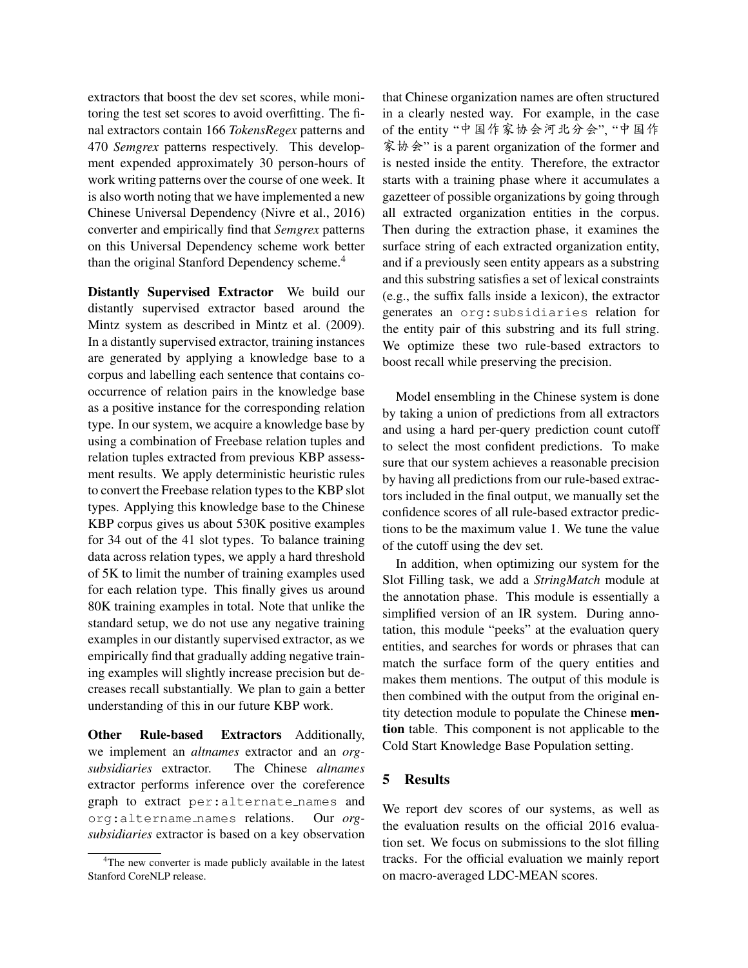extractors that boost the dev set scores, while monitoring the test set scores to avoid overfitting. The final extractors contain 166 *TokensRegex* patterns and 470 *Semgrex* patterns respectively. This development expended approximately 30 person-hours of work writing patterns over the course of one week. It is also worth noting that we have implemented a new Chinese Universal Dependency (Nivre et al., 2016) converter and empirically find that *Semgrex* patterns on this Universal Dependency scheme work better than the original Stanford Dependency scheme.<sup>4</sup>

Distantly Supervised Extractor We build our distantly supervised extractor based around the Mintz system as described in Mintz et al. (2009). In a distantly supervised extractor, training instances are generated by applying a knowledge base to a corpus and labelling each sentence that contains cooccurrence of relation pairs in the knowledge base as a positive instance for the corresponding relation type. In our system, we acquire a knowledge base by using a combination of Freebase relation tuples and relation tuples extracted from previous KBP assessment results. We apply deterministic heuristic rules to convert the Freebase relation types to the KBP slot types. Applying this knowledge base to the Chinese KBP corpus gives us about 530K positive examples for 34 out of the 41 slot types. To balance training data across relation types, we apply a hard threshold of 5K to limit the number of training examples used for each relation type. This finally gives us around 80K training examples in total. Note that unlike the standard setup, we do not use any negative training examples in our distantly supervised extractor, as we empirically find that gradually adding negative training examples will slightly increase precision but decreases recall substantially. We plan to gain a better understanding of this in our future KBP work.

Other Rule-based Extractors Additionally, we implement an *altnames* extractor and an *orgsubsidiaries* extractor. The Chinese *altnames* extractor performs inference over the coreference graph to extract per:alternate names and org:altername names relations. Our *orgsubsidiaries* extractor is based on a key observation that Chinese organization names are often structured in a clearly nested way. For example, in the case of the entity "中国作家协会河北分会", "中国作 家协会" is a parent organization of the former and is nested inside the entity. Therefore, the extractor starts with a training phase where it accumulates a gazetteer of possible organizations by going through all extracted organization entities in the corpus. Then during the extraction phase, it examines the surface string of each extracted organization entity, and if a previously seen entity appears as a substring and this substring satisfies a set of lexical constraints (e.g., the suffix falls inside a lexicon), the extractor generates an org:subsidiaries relation for the entity pair of this substring and its full string. We optimize these two rule-based extractors to boost recall while preserving the precision.

Model ensembling in the Chinese system is done by taking a union of predictions from all extractors and using a hard per-query prediction count cutoff to select the most confident predictions. To make sure that our system achieves a reasonable precision by having all predictions from our rule-based extractors included in the final output, we manually set the confidence scores of all rule-based extractor predictions to be the maximum value 1. We tune the value of the cutoff using the dev set.

In addition, when optimizing our system for the Slot Filling task, we add a *StringMatch* module at the annotation phase. This module is essentially a simplified version of an IR system. During annotation, this module "peeks" at the evaluation query entities, and searches for words or phrases that can match the surface form of the query entities and makes them mentions. The output of this module is then combined with the output from the original entity detection module to populate the Chinese mention table. This component is not applicable to the Cold Start Knowledge Base Population setting.

## 5 Results

We report dev scores of our systems, as well as the evaluation results on the official 2016 evaluation set. We focus on submissions to the slot filling tracks. For the official evaluation we mainly report on macro-averaged LDC-MEAN scores.

<sup>&</sup>lt;sup>4</sup>The new converter is made publicly available in the latest Stanford CoreNLP release.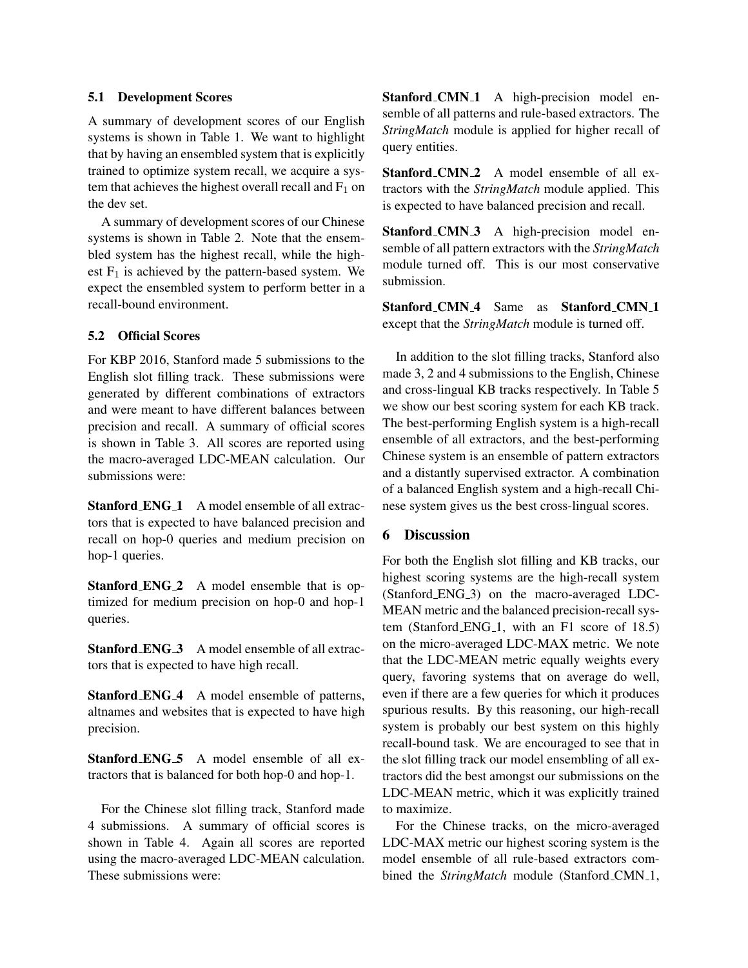## 5.1 Development Scores

A summary of development scores of our English systems is shown in Table 1. We want to highlight that by having an ensembled system that is explicitly trained to optimize system recall, we acquire a system that achieves the highest overall recall and  $F_1$  on the dev set.

A summary of development scores of our Chinese systems is shown in Table 2. Note that the ensembled system has the highest recall, while the highest  $F_1$  is achieved by the pattern-based system. We expect the ensembled system to perform better in a recall-bound environment.

# 5.2 Official Scores

For KBP 2016, Stanford made 5 submissions to the English slot filling track. These submissions were generated by different combinations of extractors and were meant to have different balances between precision and recall. A summary of official scores is shown in Table 3. All scores are reported using the macro-averaged LDC-MEAN calculation. Our submissions were:

**Stanford ENG 1** A model ensemble of all extractors that is expected to have balanced precision and recall on hop-0 queries and medium precision on hop-1 queries.

Stanford ENG<sub>2</sub> A model ensemble that is optimized for medium precision on hop-0 and hop-1 queries.

Stanford ENG<sub>-3</sub> A model ensemble of all extractors that is expected to have high recall.

Stanford ENG<sub>-4</sub> A model ensemble of patterns, altnames and websites that is expected to have high precision.

Stanford ENG<sub>-5</sub> A model ensemble of all extractors that is balanced for both hop-0 and hop-1.

For the Chinese slot filling track, Stanford made 4 submissions. A summary of official scores is shown in Table 4. Again all scores are reported using the macro-averaged LDC-MEAN calculation. These submissions were:

Stanford\_CMN\_1 A high-precision model ensemble of all patterns and rule-based extractors. The *StringMatch* module is applied for higher recall of query entities.

Stanford\_CMN\_2 A model ensemble of all extractors with the *StringMatch* module applied. This is expected to have balanced precision and recall.

Stanford CMN 3 A high-precision model ensemble of all pattern extractors with the *StringMatch* module turned off. This is our most conservative submission.

Stanford CMN<sub>-4</sub> Same as Stanford CMN<sub>-1</sub> except that the *StringMatch* module is turned off.

In addition to the slot filling tracks, Stanford also made 3, 2 and 4 submissions to the English, Chinese and cross-lingual KB tracks respectively. In Table 5 we show our best scoring system for each KB track. The best-performing English system is a high-recall ensemble of all extractors, and the best-performing Chinese system is an ensemble of pattern extractors and a distantly supervised extractor. A combination of a balanced English system and a high-recall Chinese system gives us the best cross-lingual scores.

# 6 Discussion

For both the English slot filling and KB tracks, our highest scoring systems are the high-recall system (Stanford ENG 3) on the macro-averaged LDC-MEAN metric and the balanced precision-recall system (Stanford ENG<sub>-1</sub>, with an F1 score of 18.5) on the micro-averaged LDC-MAX metric. We note that the LDC-MEAN metric equally weights every query, favoring systems that on average do well, even if there are a few queries for which it produces spurious results. By this reasoning, our high-recall system is probably our best system on this highly recall-bound task. We are encouraged to see that in the slot filling track our model ensembling of all extractors did the best amongst our submissions on the LDC-MEAN metric, which it was explicitly trained to maximize.

For the Chinese tracks, on the micro-averaged LDC-MAX metric our highest scoring system is the model ensemble of all rule-based extractors combined the *StringMatch* module (Stanford CMN<sub>-1</sub>,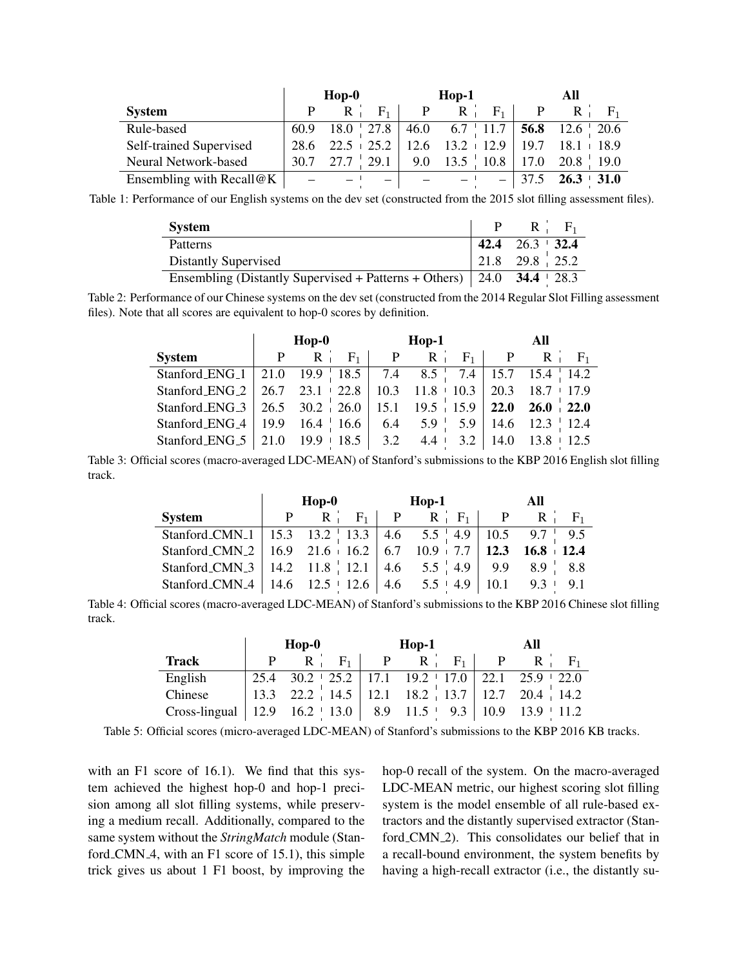|                          |      | $Hop-0$                                                 |                | $Hop-1$                                            | All          |               |  |
|--------------------------|------|---------------------------------------------------------|----------------|----------------------------------------------------|--------------|---------------|--|
| <b>System</b>            |      | $F_1$  <br>$R_{\perp}$                                  | P <sub>2</sub> | $R_{\perp}$<br>$F_1$                               | $\mathbf{P}$ | $R_{\perp}$   |  |
| Rule-based               | 60.9 |                                                         |                | $18.0$   27.8   46.0 6.7   11.7   56.8 12.6   20.6 |              |               |  |
| Self-trained Supervised  | 28.6 | $22.5 + 25.2 + 12.6 + 13.2 + 12.9 + 19.7 + 18.1 + 18.9$ |                |                                                    |              |               |  |
| Neural Network-based     |      | $30.7 \quad 27.7 \quad 29.1$                            |                | 9.0 13.5 10.8 17.0 20.8 19.0                       |              |               |  |
| Ensembling with Recall@K |      |                                                         |                |                                                    | 37.5         | $26.3 + 31.0$ |  |

Table 1: Performance of our English systems on the dev set (constructed from the 2015 slot filling assessment files).

| <b>System</b>                                                                        | $P \t R \t F_1$       |
|--------------------------------------------------------------------------------------|-----------------------|
| Patterns                                                                             | 42.4 $26.3 \div 32.4$ |
| Distantly Supervised                                                                 | 21.8 29.8 25.2        |
| Ensembling (Distantly Supervised + Patterns + Others) $\vert$ 24.0 34.4 $\vert$ 28.3 |                       |

Table 2: Performance of our Chinese systems on the dev set (constructed from the 2014 Regular Slot Filling assessment files). Note that all scores are equivalent to hop-0 scores by definition.

|                                                                                        |  |  |  | $Hop-0$ $Hop-1$                           |  |  | All |  |  |
|----------------------------------------------------------------------------------------|--|--|--|-------------------------------------------|--|--|-----|--|--|
| <b>System</b>                                                                          |  |  |  | $P$ $R$ $F_1$ $P$ $R$ $F_1$ $P$ $R$ $F_1$ |  |  |     |  |  |
| Stanford ENG <sub>-1</sub>   21.0 19.9   18.5   7.4 8.5   7.4   15.7 15.4   14.2       |  |  |  |                                           |  |  |     |  |  |
| Stanford ENG <sub>-2</sub>   26.7 23.1 + 22.8   10.3 11.8 + 10.3   20.3 18.7 + 17.9    |  |  |  |                                           |  |  |     |  |  |
| Stanford ENG <sub>-3</sub>   26.5 30.2   26.0   15.1 19.5   15.9   22.0 26.0   22.0    |  |  |  |                                           |  |  |     |  |  |
| Stanford ENG <sub>-4</sub>   19.9 $16.4$   16.6   6.4 $5.9$   5.9   14.6 $12.3$   12.4 |  |  |  |                                           |  |  |     |  |  |
| Stanford ENG <sub>-5</sub>   21.0   19.9   18.5   3.2   4.4   3.2   14.0   13.8   12.5 |  |  |  |                                           |  |  |     |  |  |

Table 3: Official scores (macro-averaged LDC-MEAN) of Stanford's submissions to the KBP 2016 English slot filling track.

|                                                                                      | $Hop-0$     | $Hop-1$                          | All |  |             |
|--------------------------------------------------------------------------------------|-------------|----------------------------------|-----|--|-------------|
| <b>System</b>                                                                        | $R_{\perp}$ | $F_1$   P R   F <sub>1</sub>   P |     |  | $R_1$ $F_1$ |
| Stanford CMN <sub>-1</sub>   15.3  13.2   13.3   4.6  5.5   4.9   10.5  9.7   9.5    |             |                                  |     |  |             |
| Stanford_CMN_2   16.9 21.6 + 16.2   6.7 10.9 + 7.7   12.3 16.8 + 12.4                |             |                                  |     |  |             |
| Stanford_CMN_3   14.2 11.8   12.1   4.6 $5.5$   4.9   9.9 8.9   8.8                  |             |                                  |     |  |             |
| Stanford_CMN_4   14.6 $12.5 \cdot 12.6$   4.6 $5.5 \cdot 4.9$   10.1 $9.3 \cdot 9.1$ |             |                                  |     |  |             |

Table 4: Official scores (macro-averaged LDC-MEAN) of Stanford's submissions to the KBP 2016 Chinese slot filling track.

|                                                         | $Hop-0$ |                                                         |       | $Hop-1$      |  |                   | All  |   |                 |
|---------------------------------------------------------|---------|---------------------------------------------------------|-------|--------------|--|-------------------|------|---|-----------------|
| <b>Track</b>                                            | P.      | R                                                       | $F_1$ | $\mathbf{P}$ |  | $R \mid F_1 \mid$ |      | R |                 |
| English                                                 | 25.4    | $30.2 + 25.2 + 17.1 + 19.2 + 17.0 + 22.1 + 25.9 + 22.0$ |       |              |  |                   |      |   |                 |
| Chinese                                                 |         | 13.3 22.2 14.5 12.1 18.2 13.7 12.7 20.4 14.2            |       |              |  |                   |      |   |                 |
| Cross-lingual   12.9    16.2   13.0   8.9    11.5   9.3 |         |                                                         |       |              |  |                   | 10.9 |   | $13.9 \pm 11.2$ |

Table 5: Official scores (micro-averaged LDC-MEAN) of Stanford's submissions to the KBP 2016 KB tracks.

with an F1 score of 16.1). We find that this system achieved the highest hop-0 and hop-1 precision among all slot filling systems, while preserving a medium recall. Additionally, compared to the same system without the *StringMatch* module (Stanford CMN<sub>-4</sub>, with an F1 score of 15.1), this simple trick gives us about 1 F1 boost, by improving the hop-0 recall of the system. On the macro-averaged LDC-MEAN metric, our highest scoring slot filling system is the model ensemble of all rule-based extractors and the distantly supervised extractor (Stanford CMN<sub>-2</sub>). This consolidates our belief that in a recall-bound environment, the system benefits by having a high-recall extractor (i.e., the distantly su